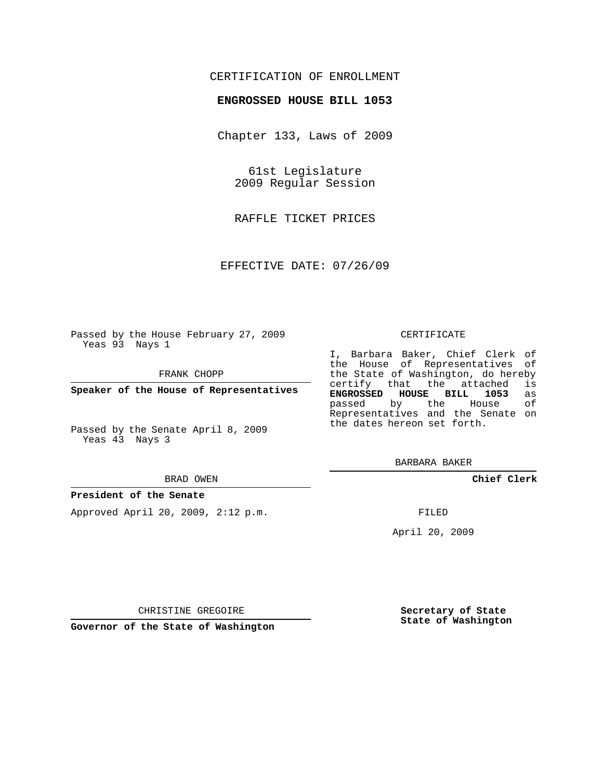## CERTIFICATION OF ENROLLMENT

### **ENGROSSED HOUSE BILL 1053**

Chapter 133, Laws of 2009

61st Legislature 2009 Regular Session

RAFFLE TICKET PRICES

EFFECTIVE DATE: 07/26/09

Passed by the House February 27, 2009 Yeas 93 Nays 1

FRANK CHOPP

**Speaker of the House of Representatives**

Passed by the Senate April 8, 2009 Yeas 43 Nays 3

#### BRAD OWEN

#### **President of the Senate**

Approved April 20, 2009, 2:12 p.m.

#### CERTIFICATE

I, Barbara Baker, Chief Clerk of the House of Representatives of the State of Washington, do hereby<br>certify that the attached is certify that the attached **ENGROSSED HOUSE BILL 1053** as passed by the House Representatives and the Senate on the dates hereon set forth.

BARBARA BAKER

**Chief Clerk**

FILED

April 20, 2009

**Secretary of State State of Washington**

CHRISTINE GREGOIRE

**Governor of the State of Washington**